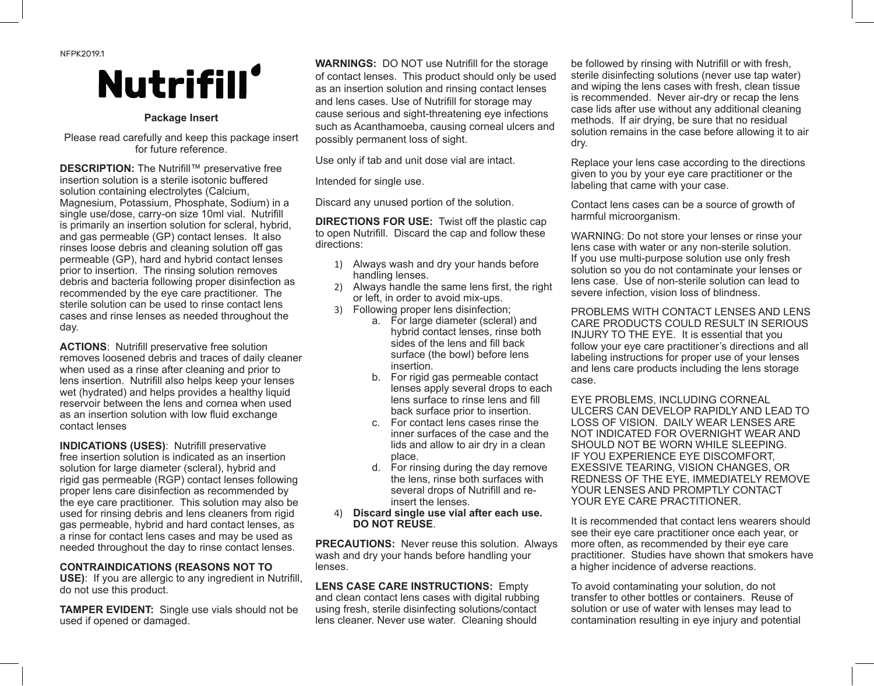NFPK2019.1

## **Nutrifill**

#### **Package Insert**

Please read carefully and keep this package insert for future reference.

| <b>DESCRIPTION:</b> The Nutrifill™ preservative free<br>insertion solution is a sterile isotonic buffered<br>solution containing electrolytes (Calcium,<br>Magnesium, Potassium, Phosphate, Sodium) in a<br>single use/dose, carry-on size 10ml vial. Nutrifill<br>is primarily an insertion solution for scleral, hybrid,<br>and gas permeable (GP) contact lenses. It also<br>rinses loose debris and cleaning solution off gas<br>permeable (GP), hard and hybrid contact lenses<br>prior to insertion. The rinsing solution removes<br>debris and bacteria following proper disinfection as<br>recommended by the eye care practitioner. The<br>sterile solution can be used to rinse contact lens |
|--------------------------------------------------------------------------------------------------------------------------------------------------------------------------------------------------------------------------------------------------------------------------------------------------------------------------------------------------------------------------------------------------------------------------------------------------------------------------------------------------------------------------------------------------------------------------------------------------------------------------------------------------------------------------------------------------------|
| cases and rinse lenses as needed throughout the                                                                                                                                                                                                                                                                                                                                                                                                                                                                                                                                                                                                                                                        |
| day.                                                                                                                                                                                                                                                                                                                                                                                                                                                                                                                                                                                                                                                                                                   |

**ACTIONS**: Nutrifill preservative free solution removes loosened debris and traces of daily cleaner when used as a rinse after cleaning and prior to lens insertion. Nutrifill also helps keep your lenses wet (hydrated) and helps provides a healthy liquid reservoir between the lens and cornea when used as an insertion solution with low fluid exchange contact lenses

**INDICATIONS (USES)**: Nutrifill preservative free insertion solution is indicated as an insertion solution for large diameter (scleral), hybrid and rigid gas permeable (RGP) contact lenses following proper lens care disinfection as recommended by the eye care practitioner. This solution may also be used for rinsing debris and lens cleaners from rigid gas permeable, hybrid and hard contact lenses, as a rinse for contact lens cases and may be used as needed throughout the day to rinse contact lenses.

### **CONTRAINDICATIONS (REASONS NOT TO**

**USE)**: If you are allergic to any ingredient in Nutrifill, do not use this product.

**TAMPER EVIDENT:** Single use vials should not be used if opened or damaged.

**WARNINGS:** DO NOT use Nutrifill for the storage of contact lenses. This product should only be used as an insertion solution and rinsing contact lenses and lens cases. Use of Nutrifill for storage may cause serious and sight-threatening eye infections such as Acanthamoeba, causing corneal ulcers and possibly permanent loss of sight.

Use only if tab and unit dose vial are intact.

Intended for single use.

Discard any unused portion of the solution.

**DIRECTIONS FOR USE:** Twist off the plastic cap to open Nutrifill. Discard the cap and follow these directions:

- 1) Always wash and dry your hands before handling lenses.
- 2) Always handle the same lens first, the right or left, in order to avoid mix-ups.
- 3) Following proper lens disinfection;
	- a. For large diameter (scleral) and hybrid contact lenses, rinse both sides of the lens and fill back surface (the bowl) before lens insertion.
	- b. For rigid gas permeable contact lenses apply several drops to each lens surface to rinse lens and fill back surface prior to insertion.
	- c. For contact lens cases rinse the inner surfaces of the case and the lids and allow to air dry in a clean place.
	- d. For rinsing during the day remove the lens, rinse both surfaces with several drops of Nutrifill and reinsert the lenses.
- 4) **Discard single use vial after each use. DO NOT REUSE**.

**PRECAUTIONS:** Never reuse this solution. Always wash and dry your hands before handling your lenses.

**LENS CASE CARE INSTRUCTIONS:** Empty and clean contact lens cases with digital rubbing using fresh, sterile disinfecting solutions/contact lens cleaner. Never use water. Cleaning should

be followed by rinsing with Nutrifill or with fresh, sterile disinfecting solutions (never use tap water) and wiping the lens cases with fresh, clean tissue is recommended. Never air-dry or recap the lens case lids after use without any additional cleaning methods. If air drying, be sure that no residual solution remains in the case before allowing it to air dry.

Replace your lens case according to the directions given to you by your eye care practitioner or the labeling that came with your case.

Contact lens cases can be a source of growth of harmful microorganism.

WARNING: Do not store your lenses or rinse your lens case with water or any non-sterile solution. If you use multi-purpose solution use only fresh solution so you do not contaminate your lenses or lens case. Use of non-sterile solution can lead to severe infection, vision loss of blindness.

PROBLEMS WITH CONTACT LENSES AND LENS CARE PRODUCTS COULD RESULT IN SERIOUS INJURY TO THE EYE. It is essential that you follow your eye care practitioner's directions and all labeling instructions for proper use of your lenses and lens care products including the lens storage case.

EYE PROBLEMS, INCLUDING CORNEAL ULCERS CAN DEVELOP RAPIDLY AND LEAD TO LOSS OF VISION. DAILY WEAR LENSES ARE NOT INDICATED FOR OVERNIGHT WEAR AND SHOULD NOT BE WORN WHILE SLEEPING. IF YOU EXPERIENCE EYE DISCOMFORT, EXESSIVE TEARING, VISION CHANGES, OR REDNESS OF THE EYE, IMMEDIATELY REMOVE YOUR LENSES AND PROMPTLY CONTACT YOUR EYE CARE PRACTITIONER.

It is recommended that contact lens wearers should see their eye care practitioner once each year, or more often, as recommended by their eye care practitioner. Studies have shown that smokers have a higher incidence of adverse reactions.

To avoid contaminating your solution, do not transfer to other bottles or containers. Reuse of solution or use of water with lenses may lead to contamination resulting in eye injury and potential